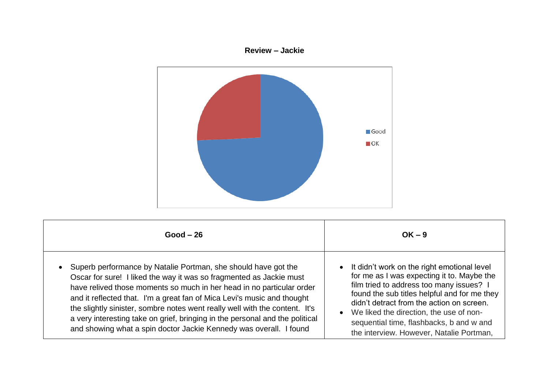## **Review – Jackie**



| $Good - 26$                                                                                                                                                                                                                                                                                                                                                                                                                                                                                                                    | $OK - 9$                                                                                                                                                                                                                                                                                                                                                              |
|--------------------------------------------------------------------------------------------------------------------------------------------------------------------------------------------------------------------------------------------------------------------------------------------------------------------------------------------------------------------------------------------------------------------------------------------------------------------------------------------------------------------------------|-----------------------------------------------------------------------------------------------------------------------------------------------------------------------------------------------------------------------------------------------------------------------------------------------------------------------------------------------------------------------|
| Superb performance by Natalie Portman, she should have got the<br>Oscar for sure! I liked the way it was so fragmented as Jackie must<br>have relived those moments so much in her head in no particular order<br>and it reflected that. I'm a great fan of Mica Levi's music and thought<br>the slightly sinister, sombre notes went really well with the content. It's<br>a very interesting take on grief, bringing in the personal and the political<br>and showing what a spin doctor Jackie Kennedy was overall. I found | It didn't work on the right emotional level<br>for me as I was expecting it to. Maybe the<br>film tried to address too many issues? I<br>found the sub titles helpful and for me they<br>didn't detract from the action on screen.<br>We liked the direction, the use of non-<br>sequential time, flashbacks, b and w and<br>the interview. However, Natalie Portman, |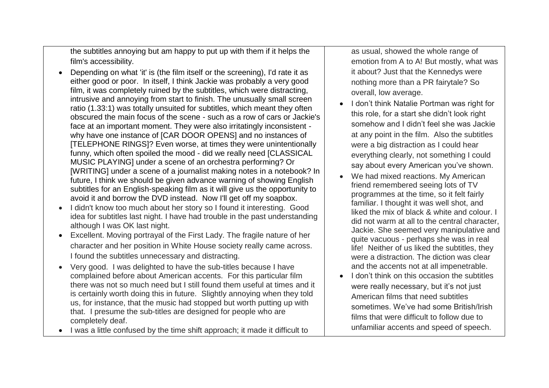the subtitles annoying but am happy to put up with them if it helps the film's accessibility.

- Depending on what 'it' is (the film itself or the screening), I'd rate it as either good or poor. In itself, I think Jackie was probably a very good film, it was completely ruined by the subtitles, which were distracting, intrusive and annoying from start to finish. The unusually small screen ratio (1.33:1) was totally unsuited for subtitles, which meant they often obscured the main focus of the scene - such as a row of cars or Jackie's face at an important moment. They were also irritatingly inconsistent why have one instance of ICAR DOOR OPENSI and no instances of [TELEPHONE RINGS]? Even worse, at times they were unintentionally funny, which often spoiled the mood - did we really need [CLASSICAL MUSIC PLAYING] under a scene of an orchestra performing? Or [WRITING] under a scene of a journalist making notes in a notebook? In future, I think we should be given advance warning of showing English subtitles for an English-speaking film as it will give us the opportunity to avoid it and borrow the DVD instead. Now I'll get off my soapbox.
- I didn't know too much about her story so I found it interesting. Good idea for subtitles last night. I have had trouble in the past understanding although I was OK last night.
- Excellent. Moving portrayal of the First Lady. The fragile nature of her character and her position in White House society really came across. I found the subtitles unnecessary and distracting.
- Very good. I was delighted to have the sub-titles because I have complained before about American accents. For this particular film there was not so much need but I still found them useful at times and it is certainly worth doing this in future. Slightly annoying when they told us, for instance, that the music had stopped but worth putting up with that. I presume the sub-titles are designed for people who are completely deaf.
- I was a little confused by the time shift approach; it made it difficult to

as usual, showed the whole range of emotion from A to A! But mostly, what was it about? Just that the Kennedys were nothing more than a PR fairytale? So overall, low average.

- I don't think Natalie Portman was right for this role, for a start she didn't look right somehow and I didn't feel she was Jackie at any point in the film. Also the subtitles were a big distraction as I could hear everything clearly, not something I could say about every American you've shown.
- We had mixed reactions. My American friend remembered seeing lots of TV programmes at the time, so it felt fairly familiar. I thought it was well shot, and liked the mix of black & white and colour. I did not warm at all to the central character, Jackie. She seemed very manipulative and quite vacuous - perhaps she was in real life! Neither of us liked the subtitles, they were a distraction. The diction was clear and the accents not at all impenetrable.
- I don't think on this occasion the subtitles were really necessary, but it's not just American films that need subtitles sometimes. We've had some British/Irish films that were difficult to follow due to unfamiliar accents and speed of speech.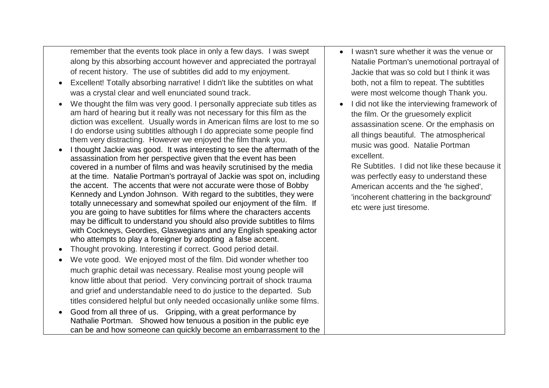remember that the events took place in only a few days. I was swept along by this absorbing account however and appreciated the portrayal of recent history. The use of subtitles did add to my enjoyment.

- Excellent! Totally absorbing narrative! I didn't like the subtitles on what was a crystal clear and well enunciated sound track.
- We thought the film was very good. I personally appreciate sub titles as am hard of hearing but it really was not necessary for this film as the diction was excellent. Usually words in American films are lost to me so I do endorse using subtitles although I do appreciate some people find them very distracting. However we enjoyed the film thank you.
- I thought Jackie was good. It was interesting to see the aftermath of the assassination from her perspective given that the event has been covered in a number of films and was heavily scrutinised by the media at the time. Natalie Portman's portrayal of Jackie was spot on, including the accent. The accents that were not accurate were those of Bobby Kennedy and Lyndon Johnson. With regard to the subtitles, they were totally unnecessary and somewhat spoiled our enjoyment of the film. If you are going to have subtitles for films where the characters accents may be difficult to understand you should also provide subtitles to films with Cockneys, Geordies, Glaswegians and any English speaking actor who attempts to play a foreigner by adopting a false accent.
- Thought provoking. Interesting if correct. Good period detail.
- We vote good. We enjoyed most of the film. Did wonder whether too much graphic detail was necessary. Realise most young people will know little about that period. Very convincing portrait of shock trauma and grief and understandable need to do justice to the departed. Sub titles considered helpful but only needed occasionally unlike some films.
- Good from all three of us. Gripping, with a great performance by Nathalie Portman. Showed how tenuous a position in the public eye can be and how someone can quickly become an embarrassment to the
- I wasn't sure whether it was the venue or Natalie Portman's unemotional portrayal of Jackie that was so cold but I think it was both, not a film to repeat. The subtitles were most welcome though Thank you.
- I did not like the interviewing framework of the film. Or the gruesomely explicit assassination scene. Or the emphasis on all things beautiful. The atmospherical music was good. Natalie Portman excellent.

Re Subtitles. I did not like these because it was perfectly easy to understand these American accents and the 'he sighed', 'incoherent chattering in the background' etc were just tiresome.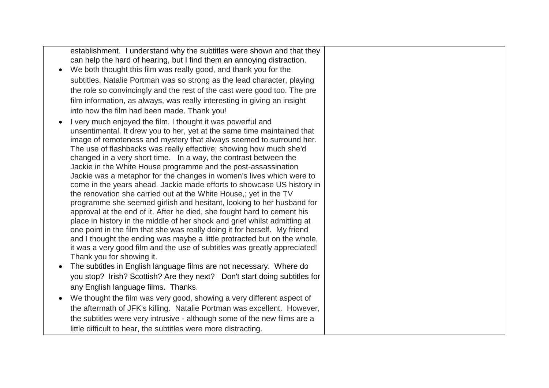|           | establishment. I understand why the subtitles were shown and that they                                                                 |
|-----------|----------------------------------------------------------------------------------------------------------------------------------------|
|           | can help the hard of hearing, but I find them an annoying distraction.                                                                 |
| $\bullet$ | We both thought this film was really good, and thank you for the                                                                       |
|           | subtitles. Natalie Portman was so strong as the lead character, playing                                                                |
|           | the role so convincingly and the rest of the cast were good too. The pre                                                               |
|           | film information, as always, was really interesting in giving an insight                                                               |
|           | into how the film had been made. Thank you!                                                                                            |
|           | I very much enjoyed the film. I thought it was powerful and                                                                            |
|           | unsentimental. It drew you to her, yet at the same time maintained that                                                                |
|           | image of remoteness and mystery that always seemed to surround her.                                                                    |
|           | The use of flashbacks was really effective; showing how much she'd                                                                     |
|           | changed in a very short time. In a way, the contrast between the                                                                       |
|           | Jackie in the White House programme and the post-assassination<br>Jackie was a metaphor for the changes in women's lives which were to |
|           | come in the years ahead. Jackie made efforts to showcase US history in                                                                 |
|           | the renovation she carried out at the White House,; yet in the TV                                                                      |
|           | programme she seemed girlish and hesitant, looking to her husband for                                                                  |
|           | approval at the end of it. After he died, she fought hard to cement his                                                                |
|           | place in history in the middle of her shock and grief whilst admitting at                                                              |
|           | one point in the film that she was really doing it for herself. My friend                                                              |
|           | and I thought the ending was maybe a little protracted but on the whole,                                                               |
|           | it was a very good film and the use of subtitles was greatly appreciated!<br>Thank you for showing it.                                 |
|           | The subtitles in English language films are not necessary. Where do                                                                    |
|           |                                                                                                                                        |
|           | you stop? Irish? Scottish? Are they next? Don't start doing subtitles for                                                              |
|           | any English language films. Thanks.                                                                                                    |
|           | We thought the film was very good, showing a very different aspect of                                                                  |
|           | the aftermath of JFK's killing. Natalie Portman was excellent. However,                                                                |
|           | the subtitles were very intrusive - although some of the new films are a                                                               |
|           | little difficult to hear, the subtitles were more distracting.                                                                         |